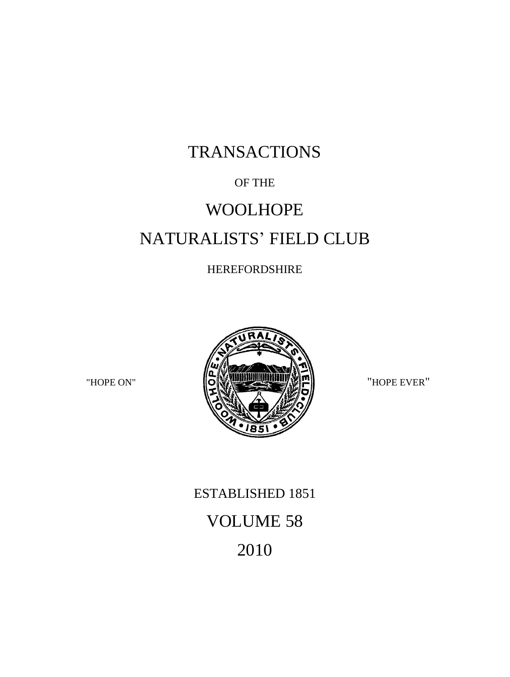# TRANSACTIONS

### OF THE

# WOOLHOPE NATURALISTS' FIELD CLUB

### HEREFORDSHIRE



# ESTABLISHED 1851 VOLUME 58 2010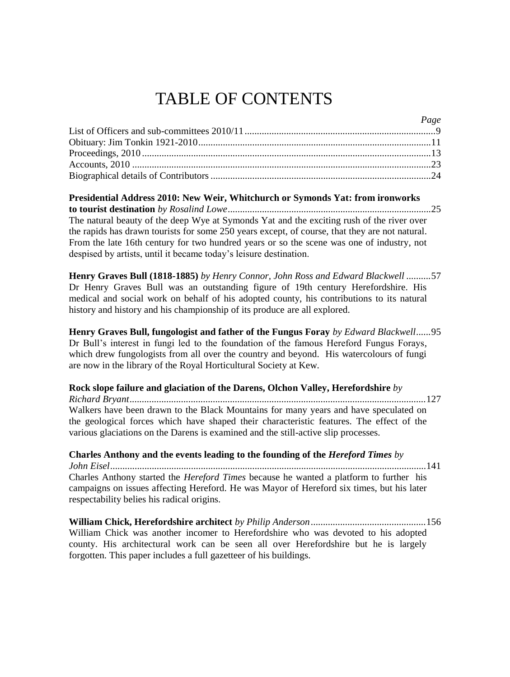## TABLE OF CONTENTS

| $l \, u \, g \, e$ |
|--------------------|
|                    |
|                    |
|                    |
|                    |
|                    |
|                    |

*Page*

**Presidential Address 2010: New Weir, Whitchurch or Symonds Yat: from ironworks to tourist destination** *by Rosalind Lowe*...................................................................................25 The natural beauty of the deep Wye at Symonds Yat and the exciting rush of the river over the rapids has drawn tourists for some 250 years except, of course, that they are not natural. From the late 16th century for two hundred years or so the scene was one of industry, not despised by artists, until it became today's leisure destination.

**Henry Graves Bull (1818-1885)** *by Henry Connor, John Ross and Edward Blackwell ..........*57 Dr Henry Graves Bull was an outstanding figure of 19th century Herefordshire. His medical and social work on behalf of his adopted county, his contributions to its natural history and history and his championship of its produce are all explored.

**Henry Graves Bull, fungologist and father of the Fungus Foray** *by Edward Blackwell......*95 Dr Bull's interest in fungi led to the foundation of the famous Hereford Fungus Forays, which drew fungologists from all over the country and beyond. His watercolours of fungi are now in the library of the Royal Horticultural Society at Kew.

**Rock slope failure and glaciation of the Darens, Olchon Valley, Herefordshire** *by Richard Bryant.........................................................................................................................*127 Walkers have been drawn to the Black Mountains for many years and have speculated on the geological forces which have shaped their characteristic features. The effect of the various glaciations on the Darens is examined and the still-active slip processes.

**Charles Anthony and the events leading to the founding of the** *Hereford Times by John Eisel*.................................................................................................................................141 Charles Anthony started the *Hereford Times* because he wanted a platform to further his campaigns on issues affecting Hereford. He was Mayor of Hereford six times, but his later respectability belies his radical origins.

**William Chick, Herefordshire architect** *by Philip Anderson...............................................*156 William Chick was another incomer to Herefordshire who was devoted to his adopted county. His architectural work can be seen all over Herefordshire but he is largely forgotten. This paper includes a full gazetteer of his buildings.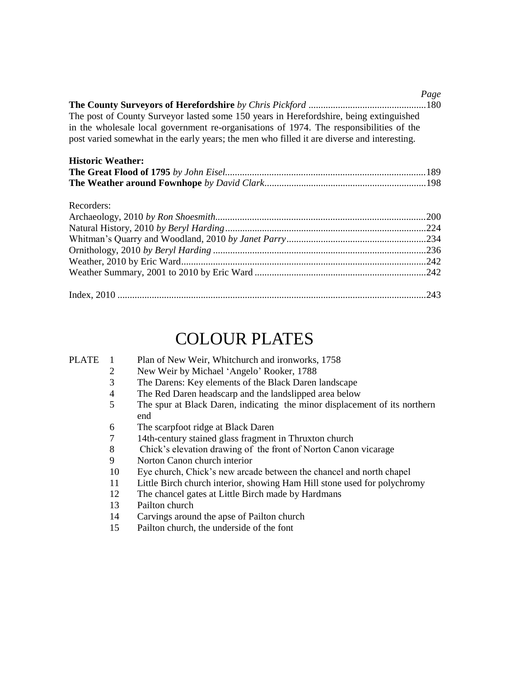|                                                                                             | Page |
|---------------------------------------------------------------------------------------------|------|
|                                                                                             |      |
| The post of County Surveyor lasted some 150 years in Herefordshire, being extinguished      |      |
| in the wholesale local government re-organisations of 1974. The responsibilities of the     |      |
| post varied somewhat in the early years; the men who filled it are diverse and interesting. |      |
|                                                                                             |      |

### **Historic Weather:**

#### Recorders:

## COLOUR PLATES

| PLATE |    | Plan of New Weir, Whitchurch and ironworks, 1758                           |
|-------|----|----------------------------------------------------------------------------|
|       | 2  | New Weir by Michael 'Angelo' Rooker, 1788                                  |
|       | 3  | The Darens: Key elements of the Black Daren landscape                      |
|       | 4  | The Red Daren headscarp and the landslipped area below                     |
|       | 5  | The spur at Black Daren, indicating the minor displacement of its northern |
|       |    | end                                                                        |
|       | 6  | The scarpfoot ridge at Black Daren                                         |
|       | 7  | 14th-century stained glass fragment in Thruxton church                     |
|       | 8  | Chick's elevation drawing of the front of Norton Canon vicarage            |
|       | 9  | Norton Canon church interior                                               |
|       | 10 | Eye church, Chick's new arcade between the chancel and north chapel        |
|       | 11 | Little Birch church interior, showing Ham Hill stone used for polychromy   |
|       | 12 | The chancel gates at Little Birch made by Hardmans                         |
|       | 13 | Pailton church                                                             |
|       | 14 | Carvings around the apse of Pailton church                                 |

15 Pailton church, the underside of the font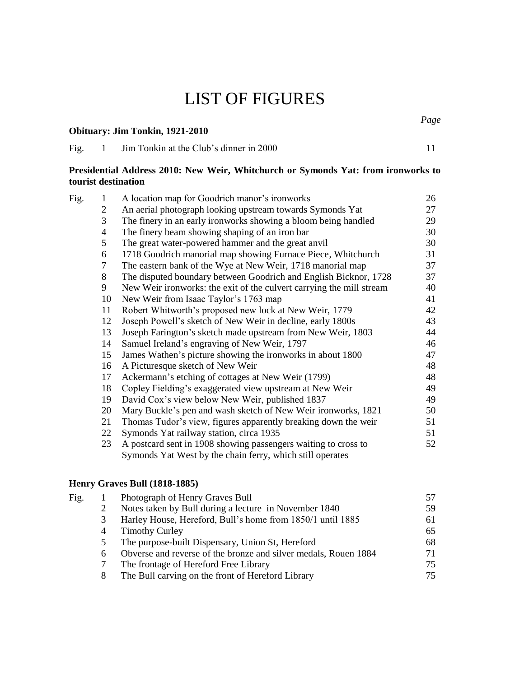### LIST OF FIGURES

### **Obituary: Jim Tonkin, 1921-2010**

*Page*

| Fig | Jim Tonkin at the Club's dinner in 2000 |  |
|-----|-----------------------------------------|--|
|     |                                         |  |

#### **Presidential Address 2010: New Weir, Whitchurch or Symonds Yat: from ironworks to tourist destination**

| Fig. | 1  | A location map for Goodrich manor's ironworks                        | 26 |
|------|----|----------------------------------------------------------------------|----|
|      | 2  | An aerial photograph looking upstream towards Symonds Yat            | 27 |
|      | 3  | The finery in an early ironworks showing a bloom being handled       | 29 |
|      | 4  | The finery beam showing shaping of an iron bar                       | 30 |
|      | 5  | The great water-powered hammer and the great anvil                   | 30 |
|      | 6  | 1718 Goodrich manorial map showing Furnace Piece, Whitchurch         | 31 |
|      | 7  | The eastern bank of the Wye at New Weir, 1718 manorial map           | 37 |
|      | 8  | The disputed boundary between Goodrich and English Bicknor, 1728     | 37 |
|      | 9  | New Weir ironworks: the exit of the culvert carrying the mill stream | 40 |
|      | 10 | New Weir from Isaac Taylor's 1763 map                                | 41 |
|      | 11 | Robert Whitworth's proposed new lock at New Weir, 1779               | 42 |
|      | 12 | Joseph Powell's sketch of New Weir in decline, early 1800s           | 43 |
|      | 13 | Joseph Farington's sketch made upstream from New Weir, 1803          | 44 |
|      | 14 | Samuel Ireland's engraving of New Weir, 1797                         | 46 |
|      | 15 | James Wathen's picture showing the ironworks in about 1800           | 47 |
|      | 16 | A Picturesque sketch of New Weir                                     | 48 |
|      | 17 | Ackermann's etching of cottages at New Weir (1799)                   | 48 |
|      | 18 | Copley Fielding's exaggerated view upstream at New Weir              | 49 |
|      | 19 | David Cox's view below New Weir, published 1837                      | 49 |
|      | 20 | Mary Buckle's pen and wash sketch of New Weir ironworks, 1821        | 50 |
|      | 21 | Thomas Tudor's view, figures apparently breaking down the weir       | 51 |
|      | 22 | Symonds Yat railway station, circa 1935                              | 51 |
|      | 23 | A postcard sent in 1908 showing passengers waiting to cross to       | 52 |
|      |    | Symonds Yat West by the chain ferry, which still operates            |    |

### **Henry Graves Bull (1818-1885)**

| Fig. |                | Photograph of Henry Graves Bull                                 |    |
|------|----------------|-----------------------------------------------------------------|----|
|      |                | Notes taken by Bull during a lecture in November 1840           | 59 |
|      |                | Harley House, Hereford, Bull's home from 1850/1 until 1885      | 61 |
|      | $\overline{4}$ | <b>Timothy Curley</b>                                           | 65 |
|      | $\mathfrak{S}$ | The purpose-built Dispensary, Union St, Hereford                | 68 |
|      | 6              | Obverse and reverse of the bronze and silver medals, Rouen 1884 | 71 |
|      |                | The frontage of Hereford Free Library                           | 75 |
|      | 8              | The Bull carving on the front of Hereford Library               | 75 |
|      |                |                                                                 |    |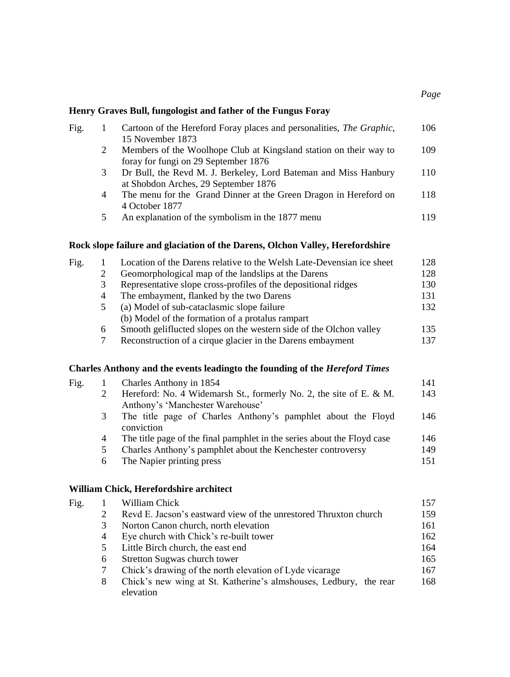*Page*

### **Henry Graves Bull, fungologist and father of the Fungus Foray**

|   | Cartoon of the Hereford Foray places and personalities, The Graphic, | 106 |
|---|----------------------------------------------------------------------|-----|
|   | 15 November 1873                                                     |     |
| 2 | Members of the Woolhope Club at Kingsland station on their way to    | 109 |
|   | foray for fungi on 29 September 1876                                 |     |
| 3 | Dr Bull, the Revd M. J. Berkeley, Lord Bateman and Miss Hanbury      | 110 |
|   | at Shobdon Arches, 29 September 1876                                 |     |
| 4 | The menu for the Grand Dinner at the Green Dragon in Hereford on     | 118 |
|   | 4 October 1877                                                       |     |
| 5 | An explanation of the symbolism in the 1877 menu                     | 119 |
|   |                                                                      |     |

### **Rock slope failure and glaciation of the Darens, Olchon Valley, Herefordshire**

| Fig. |               | Location of the Darens relative to the Welsh Late-Devensian ice sheet | 128. |
|------|---------------|-----------------------------------------------------------------------|------|
|      |               | Geomorphological map of the landslips at the Darens                   | 128  |
|      |               | Representative slope cross-profiles of the depositional ridges        | 130  |
|      | 4             | The embayment, flanked by the two Darens                              | 131  |
|      | $\mathcal{D}$ | (a) Model of sub-cataclasmic slope failure                            | 132  |
|      |               | (b) Model of the formation of a protalus rampart                      |      |
|      | 6             | Smooth geliflucted slopes on the western side of the Olchon valley    | 135  |
|      |               | Reconstruction of a cirque glacier in the Darens embayment            | 137  |
|      |               |                                                                       |      |

#### **Charles Anthony and the events leadingto the founding of the** *Hereford Times*

| Fig. |   | Charles Anthony in 1854                                                 | 141 |
|------|---|-------------------------------------------------------------------------|-----|
|      |   | Hereford: No. 4 Widemarsh St., formerly No. 2, the site of E. $\&$ M.   | 143 |
|      |   | Anthony's 'Manchester Warehouse'                                        |     |
|      | 3 | The title page of Charles Anthony's pamphlet about the Floyd            | 146 |
|      |   | conviction                                                              |     |
|      | 4 | The title page of the final pamphlet in the series about the Floyd case | 146 |
|      | 5 | Charles Anthony's pamphlet about the Kenchester controversy             | 149 |
|      | 6 | The Napier printing press                                               | 151 |
|      |   |                                                                         |     |

#### **William Chick, Herefordshire architect**

|   | William Chick                                                                  | 157 |
|---|--------------------------------------------------------------------------------|-----|
|   | Revd E. Jacson's eastward view of the unrestored Thruxton church               | 159 |
| 3 | Norton Canon church, north elevation                                           | 161 |
| 4 | Eye church with Chick's re-built tower                                         | 162 |
| 5 | Little Birch church, the east end                                              | 164 |
| 6 | Stretton Sugwas church tower                                                   | 165 |
|   | Chick's drawing of the north elevation of Lyde vicarage                        | 167 |
| 8 | Chick's new wing at St. Katherine's almshouses, Ledbury, the rear<br>elevation | 168 |
|   |                                                                                |     |